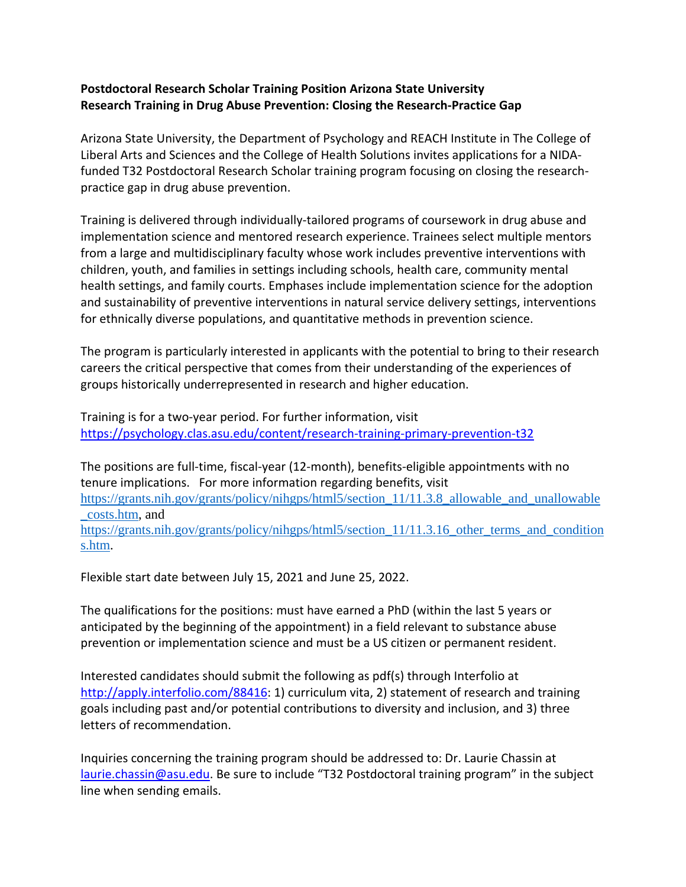## **Postdoctoral Research Scholar Training Position Arizona State University Research Training in Drug Abuse Prevention: Closing the Research-Practice Gap**

Arizona State University, the Department of Psychology and REACH Institute in The College of Liberal Arts and Sciences and the College of Health Solutions invites applications for a NIDAfunded T32 Postdoctoral Research Scholar training program focusing on closing the researchpractice gap in drug abuse prevention.

Training is delivered through individually-tailored programs of coursework in drug abuse and implementation science and mentored research experience. Trainees select multiple mentors from a large and multidisciplinary faculty whose work includes preventive interventions with children, youth, and families in settings including schools, health care, community mental health settings, and family courts. Emphases include implementation science for the adoption and sustainability of preventive interventions in natural service delivery settings, interventions for ethnically diverse populations, and quantitative methods in prevention science.

The program is particularly interested in applicants with the potential to bring to their research careers the critical perspective that comes from their understanding of the experiences of groups historically underrepresented in research and higher education.

Training is for a two-year period. For further information, visit <https://psychology.clas.asu.edu/content/research-training-primary-prevention-t32>

The positions are full-time, fiscal-year (12-month), benefits-eligible appointments with no tenure implications. For more information regarding benefits, visit [https://grants.nih.gov/grants/policy/nihgps/html5/section\\_11/11.3.8\\_allowable\\_and\\_unallowable](https://grants.nih.gov/grants/policy/nihgps/html5/section_11/11.3.8_allowable_and_unallowable_costs.htm) [\\_costs.htm,](https://grants.nih.gov/grants/policy/nihgps/html5/section_11/11.3.8_allowable_and_unallowable_costs.htm) and [https://grants.nih.gov/grants/policy/nihgps/html5/section\\_11/11.3.16\\_other\\_terms\\_and\\_condition](https://grants.nih.gov/grants/policy/nihgps/html5/section_11/11.3.16_other_terms_and_conditions.htm) [s.htm.](https://grants.nih.gov/grants/policy/nihgps/html5/section_11/11.3.16_other_terms_and_conditions.htm)

Flexible start date between July 15, 2021 and June 25, 2022.

The qualifications for the positions: must have earned a PhD (within the last 5 years or anticipated by the beginning of the appointment) in a field relevant to substance abuse prevention or implementation science and must be a US citizen or permanent resident.

Interested candidates should submit the following as pdf(s) through Interfolio at [http://apply.interfolio.com/88416:](http://apply.interfolio.com/88416) 1) curriculum vita, 2) statement of research and training goals including past and/or potential contributions to diversity and inclusion, and 3) three letters of recommendation.

Inquiries concerning the training program should be addressed to: Dr. Laurie Chassin at [laurie.chassin@asu.edu.](mailto:laurie.chassin@asu.edu) Be sure to include "T32 Postdoctoral training program" in the subject line when sending emails.